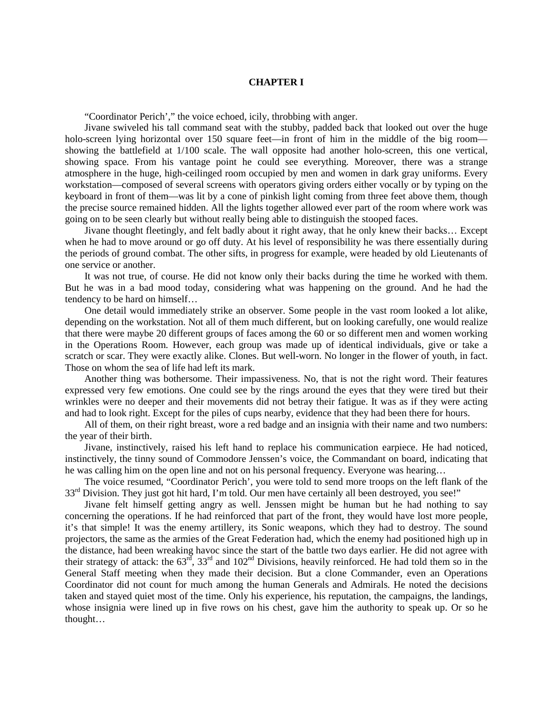## **CHAPTER I**

"Coordinator Perich'," the voice echoed, icily, throbbing with anger.

Jivane swiveled his tall command seat with the stubby, padded back that looked out over the huge holo-screen lying horizontal over 150 square feet—in front of him in the middle of the big room showing the battlefield at 1/100 scale. The wall opposite had another holo-screen, this one vertical, showing space. From his vantage point he could see everything. Moreover, there was a strange atmosphere in the huge, high-ceilinged room occupied by men and women in dark gray uniforms. Every workstation—composed of several screens with operators giving orders either vocally or by typing on the keyboard in front of them—was lit by a cone of pinkish light coming from three feet above them, though the precise source remained hidden. All the lights together allowed ever part of the room where work was going on to be seen clearly but without really being able to distinguish the stooped faces.

Jivane thought fleetingly, and felt badly about it right away, that he only knew their backs… Except when he had to move around or go off duty. At his level of responsibility he was there essentially during the periods of ground combat. The other sifts, in progress for example, were headed by old Lieutenants of one service or another.

It was not true, of course. He did not know only their backs during the time he worked with them. But he was in a bad mood today, considering what was happening on the ground. And he had the tendency to be hard on himself…

One detail would immediately strike an observer. Some people in the vast room looked a lot alike, depending on the workstation. Not all of them much different, but on looking carefully, one would realize that there were maybe 20 different groups of faces among the 60 or so different men and women working in the Operations Room. However, each group was made up of identical individuals, give or take a scratch or scar. They were exactly alike. Clones. But well-worn. No longer in the flower of youth, in fact. Those on whom the sea of life had left its mark.

Another thing was bothersome. Their impassiveness. No, that is not the right word. Their features expressed very few emotions. One could see by the rings around the eyes that they were tired but their wrinkles were no deeper and their movements did not betray their fatigue. It was as if they were acting and had to look right. Except for the piles of cups nearby, evidence that they had been there for hours.

All of them, on their right breast, wore a red badge and an insignia with their name and two numbers: the year of their birth.

Jivane, instinctively, raised his left hand to replace his communication earpiece. He had noticed, instinctively, the tinny sound of Commodore Jenssen's voice, the Commandant on board, indicating that he was calling him on the open line and not on his personal frequency. Everyone was hearing…

The voice resumed, "Coordinator Perich', you were told to send more troops on the left flank of the  $33<sup>rd</sup>$  Division. They just got hit hard, I'm told. Our men have certainly all been destroyed, you see!"

Jivane felt himself getting angry as well. Jenssen might be human but he had nothing to say concerning the operations. If he had reinforced that part of the front, they would have lost more people, it's that simple! It was the enemy artillery, its Sonic weapons, which they had to destroy. The sound projectors, the same as the armies of the Great Federation had, which the enemy had positioned high up in the distance, had been wreaking havoc since the start of the battle two days earlier. He did not agree with their strategy of attack: the  $63^{\text{rd}}$ ,  $33^{\text{rd}}$  and  $102^{\text{nd}}$  Divisions, heavily reinforced. He had told them so in the General Staff meeting when they made their decision. But a clone Commander, even an Operations Coordinator did not count for much among the human Generals and Admirals. He noted the decisions taken and stayed quiet most of the time. Only his experience, his reputation, the campaigns, the landings, whose insignia were lined up in five rows on his chest, gave him the authority to speak up. Or so he thought…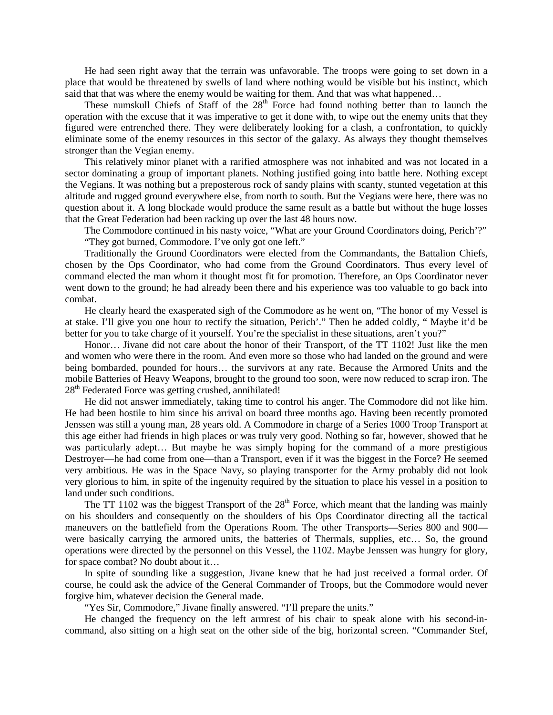He had seen right away that the terrain was unfavorable. The troops were going to set down in a place that would be threatened by swells of land where nothing would be visible but his instinct, which said that that was where the enemy would be waiting for them. And that was what happened…

These numskull Chiefs of Staff of the  $28<sup>th</sup>$  Force had found nothing better than to launch the operation with the excuse that it was imperative to get it done with, to wipe out the enemy units that they figured were entrenched there. They were deliberately looking for a clash, a confrontation, to quickly eliminate some of the enemy resources in this sector of the galaxy. As always they thought themselves stronger than the Vegian enemy.

This relatively minor planet with a rarified atmosphere was not inhabited and was not located in a sector dominating a group of important planets. Nothing justified going into battle here. Nothing except the Vegians. It was nothing but a preposterous rock of sandy plains with scanty, stunted vegetation at this altitude and rugged ground everywhere else, from north to south. But the Vegians were here, there was no question about it. A long blockade would produce the same result as a battle but without the huge losses that the Great Federation had been racking up over the last 48 hours now.

The Commodore continued in his nasty voice, "What are your Ground Coordinators doing, Perich'?" "They got burned, Commodore. I've only got one left."

Traditionally the Ground Coordinators were elected from the Commandants, the Battalion Chiefs, chosen by the Ops Coordinator, who had come from the Ground Coordinators. Thus every level of command elected the man whom it thought most fit for promotion. Therefore, an Ops Coordinator never went down to the ground; he had already been there and his experience was too valuable to go back into combat.

He clearly heard the exasperated sigh of the Commodore as he went on, "The honor of my Vessel is at stake. I'll give you one hour to rectify the situation, Perich'." Then he added coldly, " Maybe it'd be better for you to take charge of it yourself. You're the specialist in these situations, aren't you?"

Honor… Jivane did not care about the honor of their Transport, of the TT 1102! Just like the men and women who were there in the room. And even more so those who had landed on the ground and were being bombarded, pounded for hours… the survivors at any rate. Because the Armored Units and the mobile Batteries of Heavy Weapons, brought to the ground too soon, were now reduced to scrap iron. The 28<sup>th</sup> Federated Force was getting crushed, annihilated!

He did not answer immediately, taking time to control his anger. The Commodore did not like him. He had been hostile to him since his arrival on board three months ago. Having been recently promoted Jenssen was still a young man, 28 years old. A Commodore in charge of a Series 1000 Troop Transport at this age either had friends in high places or was truly very good. Nothing so far, however, showed that he was particularly adept… But maybe he was simply hoping for the command of a more prestigious Destroyer—he had come from one—than a Transport, even if it was the biggest in the Force? He seemed very ambitious. He was in the Space Navy, so playing transporter for the Army probably did not look very glorious to him, in spite of the ingenuity required by the situation to place his vessel in a position to land under such conditions.

The TT 1102 was the biggest Transport of the  $28<sup>th</sup>$  Force, which meant that the landing was mainly on his shoulders and consequently on the shoulders of his Ops Coordinator directing all the tactical maneuvers on the battlefield from the Operations Room. The other Transports—Series 800 and 900 were basically carrying the armored units, the batteries of Thermals, supplies, etc… So, the ground operations were directed by the personnel on this Vessel, the 1102. Maybe Jenssen was hungry for glory, for space combat? No doubt about it…

In spite of sounding like a suggestion, Jivane knew that he had just received a formal order. Of course, he could ask the advice of the General Commander of Troops, but the Commodore would never forgive him, whatever decision the General made.

"Yes Sir, Commodore," Jivane finally answered. "I'll prepare the units."

He changed the frequency on the left armrest of his chair to speak alone with his second-incommand, also sitting on a high seat on the other side of the big, horizontal screen. "Commander Stef,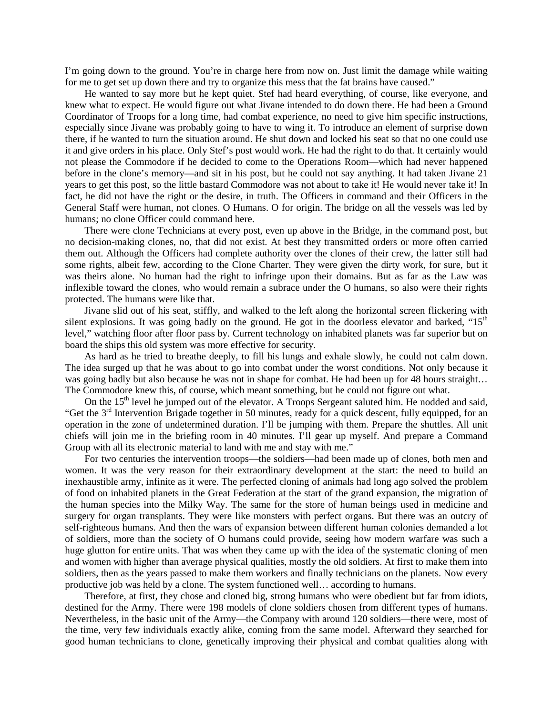I'm going down to the ground. You're in charge here from now on. Just limit the damage while waiting for me to get set up down there and try to organize this mess that the fat brains have caused."

He wanted to say more but he kept quiet. Stef had heard everything, of course, like everyone, and knew what to expect. He would figure out what Jivane intended to do down there. He had been a Ground Coordinator of Troops for a long time, had combat experience, no need to give him specific instructions, especially since Jivane was probably going to have to wing it. To introduce an element of surprise down there, if he wanted to turn the situation around. He shut down and locked his seat so that no one could use it and give orders in his place. Only Stef's post would work. He had the right to do that. It certainly would not please the Commodore if he decided to come to the Operations Room—which had never happened before in the clone's memory—and sit in his post, but he could not say anything. It had taken Jivane 21 years to get this post, so the little bastard Commodore was not about to take it! He would never take it! In fact, he did not have the right or the desire, in truth. The Officers in command and their Officers in the General Staff were human, not clones. O Humans. O for origin. The bridge on all the vessels was led by humans; no clone Officer could command here.

There were clone Technicians at every post, even up above in the Bridge, in the command post, but no decision-making clones, no, that did not exist. At best they transmitted orders or more often carried them out. Although the Officers had complete authority over the clones of their crew, the latter still had some rights, albeit few, according to the Clone Charter. They were given the dirty work, for sure, but it was theirs alone. No human had the right to infringe upon their domains. But as far as the Law was inflexible toward the clones, who would remain a subrace under the O humans, so also were their rights protected. The humans were like that.

Jivane slid out of his seat, stiffly, and walked to the left along the horizontal screen flickering with silent explosions. It was going badly on the ground. He got in the doorless elevator and barked, " $15<sup>th</sup>$ level," watching floor after floor pass by. Current technology on inhabited planets was far superior but on board the ships this old system was more effective for security.

As hard as he tried to breathe deeply, to fill his lungs and exhale slowly, he could not calm down. The idea surged up that he was about to go into combat under the worst conditions. Not only because it was going badly but also because he was not in shape for combat. He had been up for 48 hours straight... The Commodore knew this, of course, which meant something, but he could not figure out what.

On the 15<sup>th</sup> level he jumped out of the elevator. A Troops Sergeant saluted him. He nodded and said, "Get the 3rd Intervention Brigade together in 50 minutes, ready for a quick descent, fully equipped, for an operation in the zone of undetermined duration. I'll be jumping with them. Prepare the shuttles. All unit chiefs will join me in the briefing room in 40 minutes. I'll gear up myself. And prepare a Command Group with all its electronic material to land with me and stay with me."

For two centuries the intervention troops—the soldiers—had been made up of clones, both men and women. It was the very reason for their extraordinary development at the start: the need to build an inexhaustible army, infinite as it were. The perfected cloning of animals had long ago solved the problem of food on inhabited planets in the Great Federation at the start of the grand expansion, the migration of the human species into the Milky Way. The same for the store of human beings used in medicine and surgery for organ transplants. They were like monsters with perfect organs. But there was an outcry of self-righteous humans. And then the wars of expansion between different human colonies demanded a lot of soldiers, more than the society of O humans could provide, seeing how modern warfare was such a huge glutton for entire units. That was when they came up with the idea of the systematic cloning of men and women with higher than average physical qualities, mostly the old soldiers. At first to make them into soldiers, then as the years passed to make them workers and finally technicians on the planets. Now every productive job was held by a clone. The system functioned well… according to humans.

Therefore, at first, they chose and cloned big, strong humans who were obedient but far from idiots, destined for the Army. There were 198 models of clone soldiers chosen from different types of humans. Nevertheless, in the basic unit of the Army—the Company with around 120 soldiers—there were, most of the time, very few individuals exactly alike, coming from the same model. Afterward they searched for good human technicians to clone, genetically improving their physical and combat qualities along with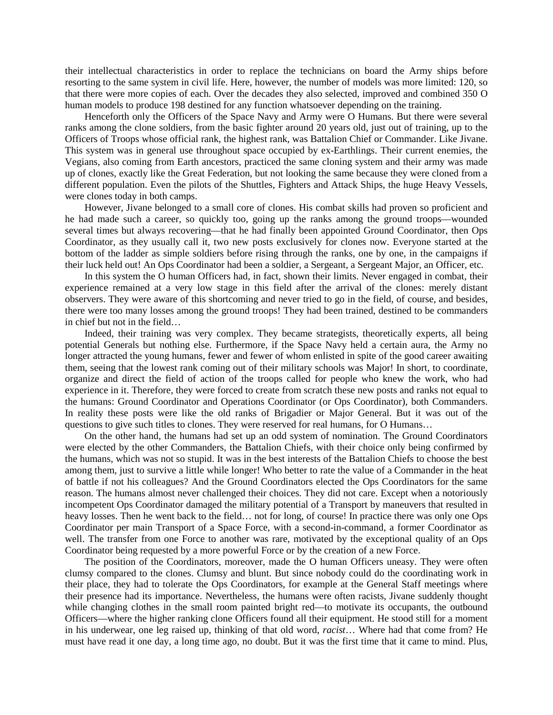their intellectual characteristics in order to replace the technicians on board the Army ships before resorting to the same system in civil life. Here, however, the number of models was more limited: 120, so that there were more copies of each. Over the decades they also selected, improved and combined 350 O human models to produce 198 destined for any function whatsoever depending on the training.

Henceforth only the Officers of the Space Navy and Army were O Humans. But there were several ranks among the clone soldiers, from the basic fighter around 20 years old, just out of training, up to the Officers of Troops whose official rank, the highest rank, was Battalion Chief or Commander. Like Jivane. This system was in general use throughout space occupied by ex-Earthlings. Their current enemies, the Vegians, also coming from Earth ancestors, practiced the same cloning system and their army was made up of clones, exactly like the Great Federation, but not looking the same because they were cloned from a different population. Even the pilots of the Shuttles, Fighters and Attack Ships, the huge Heavy Vessels, were clones today in both camps.

However, Jivane belonged to a small core of clones. His combat skills had proven so proficient and he had made such a career, so quickly too, going up the ranks among the ground troops—wounded several times but always recovering—that he had finally been appointed Ground Coordinator, then Ops Coordinator, as they usually call it, two new posts exclusively for clones now. Everyone started at the bottom of the ladder as simple soldiers before rising through the ranks, one by one, in the campaigns if their luck held out! An Ops Coordinator had been a soldier, a Sergeant, a Sergeant Major, an Officer, etc.

In this system the O human Officers had, in fact, shown their limits. Never engaged in combat, their experience remained at a very low stage in this field after the arrival of the clones: merely distant observers. They were aware of this shortcoming and never tried to go in the field, of course, and besides, there were too many losses among the ground troops! They had been trained, destined to be commanders in chief but not in the field…

Indeed, their training was very complex. They became strategists, theoretically experts, all being potential Generals but nothing else. Furthermore, if the Space Navy held a certain aura, the Army no longer attracted the young humans, fewer and fewer of whom enlisted in spite of the good career awaiting them, seeing that the lowest rank coming out of their military schools was Major! In short, to coordinate, organize and direct the field of action of the troops called for people who knew the work, who had experience in it. Therefore, they were forced to create from scratch these new posts and ranks not equal to the humans: Ground Coordinator and Operations Coordinator (or Ops Coordinator), both Commanders. In reality these posts were like the old ranks of Brigadier or Major General. But it was out of the questions to give such titles to clones. They were reserved for real humans, for O Humans…

On the other hand, the humans had set up an odd system of nomination. The Ground Coordinators were elected by the other Commanders, the Battalion Chiefs, with their choice only being confirmed by the humans, which was not so stupid. It was in the best interests of the Battalion Chiefs to choose the best among them, just to survive a little while longer! Who better to rate the value of a Commander in the heat of battle if not his colleagues? And the Ground Coordinators elected the Ops Coordinators for the same reason. The humans almost never challenged their choices. They did not care. Except when a notoriously incompetent Ops Coordinator damaged the military potential of a Transport by maneuvers that resulted in heavy losses. Then he went back to the field… not for long, of course! In practice there was only one Ops Coordinator per main Transport of a Space Force, with a second-in-command, a former Coordinator as well. The transfer from one Force to another was rare, motivated by the exceptional quality of an Ops Coordinator being requested by a more powerful Force or by the creation of a new Force.

The position of the Coordinators, moreover, made the O human Officers uneasy. They were often clumsy compared to the clones. Clumsy and blunt. But since nobody could do the coordinating work in their place, they had to tolerate the Ops Coordinators, for example at the General Staff meetings where their presence had its importance. Nevertheless, the humans were often racists, Jivane suddenly thought while changing clothes in the small room painted bright red—to motivate its occupants, the outbound Officers—where the higher ranking clone Officers found all their equipment. He stood still for a moment in his underwear, one leg raised up, thinking of that old word, *racist*… Where had that come from? He must have read it one day, a long time ago, no doubt. But it was the first time that it came to mind. Plus,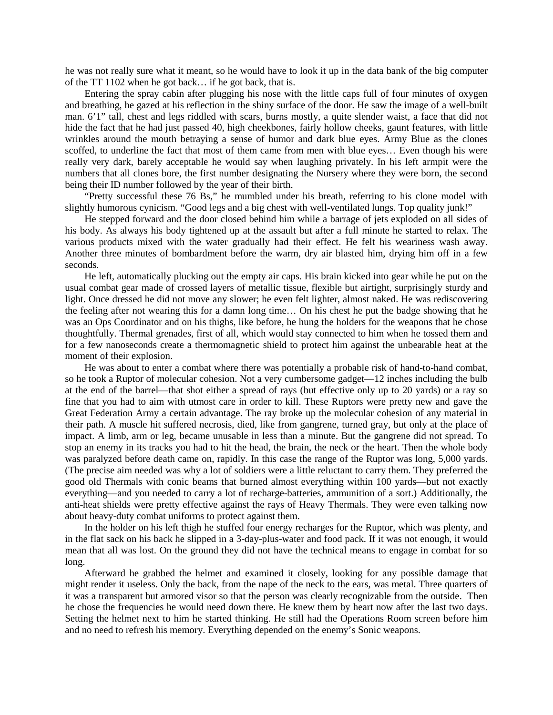he was not really sure what it meant, so he would have to look it up in the data bank of the big computer of the TT 1102 when he got back… if he got back, that is.

Entering the spray cabin after plugging his nose with the little caps full of four minutes of oxygen and breathing, he gazed at his reflection in the shiny surface of the door. He saw the image of a well-built man. 6'1" tall, chest and legs riddled with scars, burns mostly, a quite slender waist, a face that did not hide the fact that he had just passed 40, high cheekbones, fairly hollow cheeks, gaunt features, with little wrinkles around the mouth betraying a sense of humor and dark blue eyes. Army Blue as the clones scoffed, to underline the fact that most of them came from men with blue eyes… Even though his were really very dark, barely acceptable he would say when laughing privately. In his left armpit were the numbers that all clones bore, the first number designating the Nursery where they were born, the second being their ID number followed by the year of their birth.

"Pretty successful these 76 Bs," he mumbled under his breath, referring to his clone model with slightly humorous cynicism. "Good legs and a big chest with well-ventilated lungs. Top quality junk!"

He stepped forward and the door closed behind him while a barrage of jets exploded on all sides of his body. As always his body tightened up at the assault but after a full minute he started to relax. The various products mixed with the water gradually had their effect. He felt his weariness wash away. Another three minutes of bombardment before the warm, dry air blasted him, drying him off in a few seconds.

He left, automatically plucking out the empty air caps. His brain kicked into gear while he put on the usual combat gear made of crossed layers of metallic tissue, flexible but airtight, surprisingly sturdy and light. Once dressed he did not move any slower; he even felt lighter, almost naked. He was rediscovering the feeling after not wearing this for a damn long time… On his chest he put the badge showing that he was an Ops Coordinator and on his thighs, like before, he hung the holders for the weapons that he chose thoughtfully. Thermal grenades, first of all, which would stay connected to him when he tossed them and for a few nanoseconds create a thermomagnetic shield to protect him against the unbearable heat at the moment of their explosion.

He was about to enter a combat where there was potentially a probable risk of hand-to-hand combat, so he took a Ruptor of molecular cohesion. Not a very cumbersome gadget—12 inches including the bulb at the end of the barrel—that shot either a spread of rays (but effective only up to 20 yards) or a ray so fine that you had to aim with utmost care in order to kill. These Ruptors were pretty new and gave the Great Federation Army a certain advantage. The ray broke up the molecular cohesion of any material in their path. A muscle hit suffered necrosis, died, like from gangrene, turned gray, but only at the place of impact. A limb, arm or leg, became unusable in less than a minute. But the gangrene did not spread. To stop an enemy in its tracks you had to hit the head, the brain, the neck or the heart. Then the whole body was paralyzed before death came on, rapidly. In this case the range of the Ruptor was long, 5,000 yards. (The precise aim needed was why a lot of soldiers were a little reluctant to carry them. They preferred the good old Thermals with conic beams that burned almost everything within 100 yards—but not exactly everything—and you needed to carry a lot of recharge-batteries, ammunition of a sort.) Additionally, the anti-heat shields were pretty effective against the rays of Heavy Thermals. They were even talking now about heavy-duty combat uniforms to protect against them.

In the holder on his left thigh he stuffed four energy recharges for the Ruptor, which was plenty, and in the flat sack on his back he slipped in a 3-day-plus-water and food pack. If it was not enough, it would mean that all was lost. On the ground they did not have the technical means to engage in combat for so long.

Afterward he grabbed the helmet and examined it closely, looking for any possible damage that might render it useless. Only the back, from the nape of the neck to the ears, was metal. Three quarters of it was a transparent but armored visor so that the person was clearly recognizable from the outside. Then he chose the frequencies he would need down there. He knew them by heart now after the last two days. Setting the helmet next to him he started thinking. He still had the Operations Room screen before him and no need to refresh his memory. Everything depended on the enemy's Sonic weapons.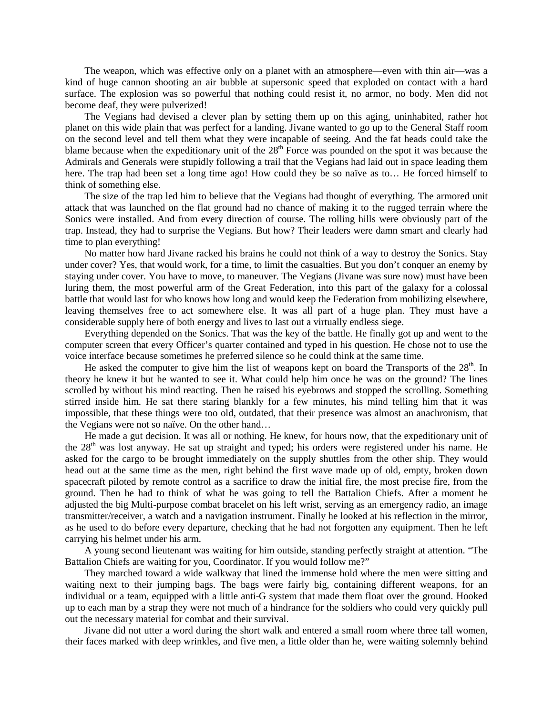The weapon, which was effective only on a planet with an atmosphere—even with thin air—was a kind of huge cannon shooting an air bubble at supersonic speed that exploded on contact with a hard surface. The explosion was so powerful that nothing could resist it, no armor, no body. Men did not become deaf, they were pulverized!

The Vegians had devised a clever plan by setting them up on this aging, uninhabited, rather hot planet on this wide plain that was perfect for a landing. Jivane wanted to go up to the General Staff room on the second level and tell them what they were incapable of seeing. And the fat heads could take the blame because when the expeditionary unit of the  $28<sup>th</sup>$  Force was pounded on the spot it was because the Admirals and Generals were stupidly following a trail that the Vegians had laid out in space leading them here. The trap had been set a long time ago! How could they be so naïve as to... He forced himself to think of something else.

The size of the trap led him to believe that the Vegians had thought of everything. The armored unit attack that was launched on the flat ground had no chance of making it to the rugged terrain where the Sonics were installed. And from every direction of course. The rolling hills were obviously part of the trap. Instead, they had to surprise the Vegians. But how? Their leaders were damn smart and clearly had time to plan everything!

No matter how hard Jivane racked his brains he could not think of a way to destroy the Sonics. Stay under cover? Yes, that would work, for a time, to limit the casualties. But you don't conquer an enemy by staying under cover. You have to move, to maneuver. The Vegians (Jivane was sure now) must have been luring them, the most powerful arm of the Great Federation, into this part of the galaxy for a colossal battle that would last for who knows how long and would keep the Federation from mobilizing elsewhere, leaving themselves free to act somewhere else. It was all part of a huge plan. They must have a considerable supply here of both energy and lives to last out a virtually endless siege.

Everything depended on the Sonics. That was the key of the battle. He finally got up and went to the computer screen that every Officer's quarter contained and typed in his question. He chose not to use the voice interface because sometimes he preferred silence so he could think at the same time.

He asked the computer to give him the list of weapons kept on board the Transports of the  $28<sup>th</sup>$ . In theory he knew it but he wanted to see it. What could help him once he was on the ground? The lines scrolled by without his mind reacting. Then he raised his eyebrows and stopped the scrolling. Something stirred inside him. He sat there staring blankly for a few minutes, his mind telling him that it was impossible, that these things were too old, outdated, that their presence was almost an anachronism, that the Vegians were not so naïve. On the other hand…

He made a gut decision. It was all or nothing. He knew, for hours now, that the expeditionary unit of the 28<sup>th</sup> was lost anyway. He sat up straight and typed; his orders were registered under his name. He asked for the cargo to be brought immediately on the supply shuttles from the other ship. They would head out at the same time as the men, right behind the first wave made up of old, empty, broken down spacecraft piloted by remote control as a sacrifice to draw the initial fire, the most precise fire, from the ground. Then he had to think of what he was going to tell the Battalion Chiefs. After a moment he adjusted the big Multi-purpose combat bracelet on his left wrist, serving as an emergency radio, an image transmitter/receiver, a watch and a navigation instrument. Finally he looked at his reflection in the mirror, as he used to do before every departure, checking that he had not forgotten any equipment. Then he left carrying his helmet under his arm.

A young second lieutenant was waiting for him outside, standing perfectly straight at attention. "The Battalion Chiefs are waiting for you, Coordinator. If you would follow me?"

They marched toward a wide walkway that lined the immense hold where the men were sitting and waiting next to their jumping bags. The bags were fairly big, containing different weapons, for an individual or a team, equipped with a little anti-G system that made them float over the ground. Hooked up to each man by a strap they were not much of a hindrance for the soldiers who could very quickly pull out the necessary material for combat and their survival.

Jivane did not utter a word during the short walk and entered a small room where three tall women, their faces marked with deep wrinkles, and five men, a little older than he, were waiting solemnly behind